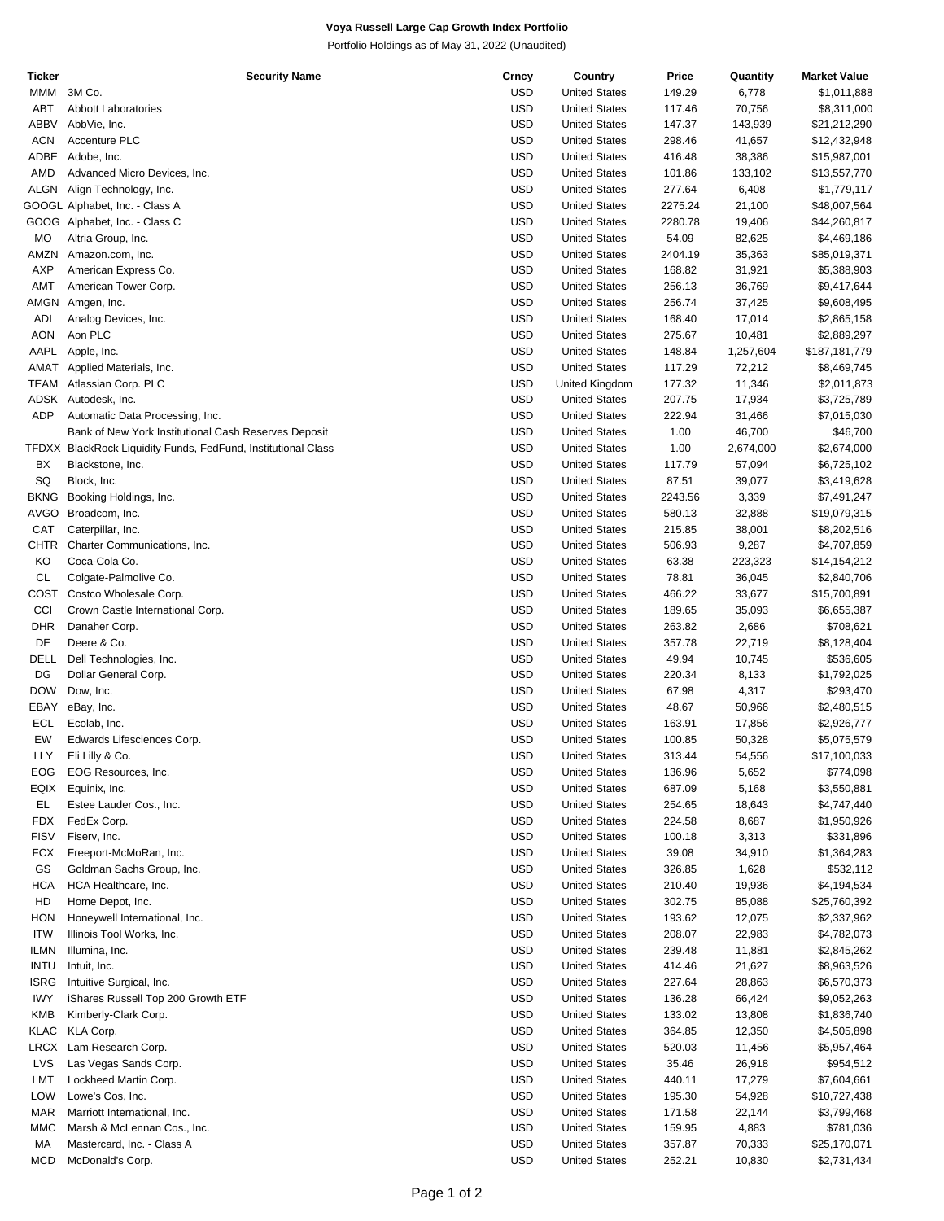## **Voya Russell Large Cap Growth Index Portfolio**

Portfolio Holdings as of May 31, 2022 (Unaudited)

| Ticker      | <b>Security Name</b>                                          | Crncy      | Country              | Price   | Quantity  | <b>Market Value</b> |
|-------------|---------------------------------------------------------------|------------|----------------------|---------|-----------|---------------------|
| MMM         | 3M Co.                                                        | <b>USD</b> | <b>United States</b> | 149.29  | 6,778     | \$1,011,888         |
| <b>ABT</b>  | <b>Abbott Laboratories</b>                                    | <b>USD</b> | <b>United States</b> | 117.46  | 70,756    | \$8,311,000         |
| <b>ABBV</b> | AbbVie, Inc.                                                  | <b>USD</b> | <b>United States</b> | 147.37  | 143,939   | \$21,212,290        |
| <b>ACN</b>  | Accenture PLC                                                 | <b>USD</b> | <b>United States</b> | 298.46  | 41,657    | \$12,432,948        |
|             |                                                               |            |                      |         |           |                     |
| ADBE        | Adobe, Inc.                                                   | <b>USD</b> | <b>United States</b> | 416.48  | 38,386    | \$15,987,001        |
| AMD         | Advanced Micro Devices, Inc.                                  | <b>USD</b> | <b>United States</b> | 101.86  | 133,102   | \$13,557,770        |
| <b>ALGN</b> | Align Technology, Inc.                                        | <b>USD</b> | <b>United States</b> | 277.64  | 6,408     | \$1,779,117         |
|             | GOOGL Alphabet, Inc. - Class A                                | <b>USD</b> | <b>United States</b> | 2275.24 | 21,100    | \$48,007,564        |
|             | GOOG Alphabet, Inc. - Class C                                 | <b>USD</b> | <b>United States</b> | 2280.78 | 19,406    | \$44,260,817        |
| <b>MO</b>   | Altria Group, Inc.                                            | <b>USD</b> | <b>United States</b> | 54.09   | 82,625    | \$4,469,186         |
| AMZN        | Amazon.com, Inc.                                              | <b>USD</b> | <b>United States</b> | 2404.19 | 35,363    | \$85,019,371        |
| <b>AXP</b>  | American Express Co.                                          | <b>USD</b> | <b>United States</b> | 168.82  | 31,921    | \$5,388,903         |
| <b>AMT</b>  | American Tower Corp.                                          | <b>USD</b> | <b>United States</b> | 256.13  |           |                     |
|             |                                                               |            |                      |         | 36,769    | \$9,417,644         |
| AMGN        | Amgen, Inc.                                                   | <b>USD</b> | <b>United States</b> | 256.74  | 37,425    | \$9,608,495         |
| <b>ADI</b>  | Analog Devices, Inc.                                          | <b>USD</b> | <b>United States</b> | 168.40  | 17,014    | \$2,865,158         |
| <b>AON</b>  | Aon PLC                                                       | <b>USD</b> | <b>United States</b> | 275.67  | 10,481    | \$2,889,297         |
| AAPL        | Apple, Inc.                                                   | <b>USD</b> | <b>United States</b> | 148.84  | 1,257,604 | \$187,181,779       |
| AMAT        | Applied Materials, Inc.                                       | <b>USD</b> | <b>United States</b> | 117.29  | 72,212    | \$8,469,745         |
| TEAM        | Atlassian Corp. PLC                                           | <b>USD</b> | United Kingdom       | 177.32  | 11,346    | \$2,011,873         |
| ADSK        | Autodesk, Inc.                                                | <b>USD</b> | <b>United States</b> | 207.75  | 17,934    | \$3,725,789         |
| ADP         | Automatic Data Processing, Inc.                               | <b>USD</b> | <b>United States</b> | 222.94  | 31,466    | \$7,015,030         |
|             |                                                               |            |                      |         |           |                     |
|             | Bank of New York Institutional Cash Reserves Deposit          | <b>USD</b> | <b>United States</b> | 1.00    | 46,700    | \$46,700            |
|             | TFDXX BlackRock Liquidity Funds, FedFund, Institutional Class | <b>USD</b> | <b>United States</b> | 1.00    | 2,674,000 | \$2,674,000         |
| BX          | Blackstone, Inc.                                              | <b>USD</b> | <b>United States</b> | 117.79  | 57,094    | \$6,725,102         |
| SQ          | Block, Inc.                                                   | <b>USD</b> | <b>United States</b> | 87.51   | 39,077    | \$3,419,628         |
| <b>BKNG</b> | Booking Holdings, Inc.                                        | <b>USD</b> | <b>United States</b> | 2243.56 | 3,339     | \$7,491,247         |
| AVGO        | Broadcom, Inc.                                                | <b>USD</b> | <b>United States</b> | 580.13  | 32,888    | \$19,079,315        |
| CAT         | Caterpillar, Inc.                                             | <b>USD</b> | <b>United States</b> | 215.85  | 38,001    | \$8,202,516         |
| <b>CHTR</b> | Charter Communications, Inc.                                  | <b>USD</b> | <b>United States</b> | 506.93  | 9,287     | \$4,707,859         |
|             |                                                               |            |                      |         |           |                     |
| KO          | Coca-Cola Co.                                                 | <b>USD</b> | <b>United States</b> | 63.38   | 223,323   | \$14,154,212        |
| <b>CL</b>   | Colgate-Palmolive Co.                                         | <b>USD</b> | <b>United States</b> | 78.81   | 36,045    | \$2,840,706         |
| COST        | Costco Wholesale Corp.                                        | <b>USD</b> | <b>United States</b> | 466.22  | 33,677    | \$15,700,891        |
| CCI         | Crown Castle International Corp.                              | <b>USD</b> | <b>United States</b> | 189.65  | 35,093    | \$6,655,387         |
| <b>DHR</b>  | Danaher Corp.                                                 | <b>USD</b> | <b>United States</b> | 263.82  | 2,686     | \$708,621           |
| DE          | Deere & Co.                                                   | <b>USD</b> | <b>United States</b> | 357.78  | 22,719    | \$8,128,404         |
| DELL        | Dell Technologies, Inc.                                       | <b>USD</b> | <b>United States</b> | 49.94   | 10,745    | \$536,605           |
| DG          | Dollar General Corp.                                          | <b>USD</b> | <b>United States</b> | 220.34  | 8,133     | \$1,792,025         |
| <b>DOW</b>  |                                                               | <b>USD</b> | <b>United States</b> | 67.98   |           |                     |
|             | Dow, Inc.                                                     |            |                      |         | 4,317     | \$293,470           |
| EBAY        | eBay, Inc.                                                    | <b>USD</b> | <b>United States</b> | 48.67   | 50,966    | \$2,480,515         |
| ECL         | Ecolab, Inc.                                                  | <b>USD</b> | <b>United States</b> | 163.91  | 17,856    | \$2,926,777         |
| EW          | Edwards Lifesciences Corp.                                    | <b>USD</b> | <b>United States</b> | 100.85  | 50,328    | \$5,075,579         |
| LLY         | Eli Lilly & Co.                                               | <b>USD</b> | <b>United States</b> | 313.44  | 54,556    | \$17,100,033        |
| EOG         | EOG Resources, Inc.                                           | <b>USD</b> | <b>United States</b> | 136.96  | 5,652     | \$774,098           |
| EQIX        | Equinix, Inc.                                                 | <b>USD</b> | <b>United States</b> | 687.09  | 5,168     | \$3,550,881         |
| EL          | Estee Lauder Cos., Inc.                                       | <b>USD</b> | <b>United States</b> | 254.65  | 18,643    | \$4,747,440         |
| <b>FDX</b>  | FedEx Corp.                                                   | <b>USD</b> | <b>United States</b> | 224.58  | 8,687     | \$1,950,926         |
|             |                                                               |            |                      |         |           |                     |
| <b>FISV</b> | Fiserv, Inc.                                                  | <b>USD</b> | <b>United States</b> | 100.18  | 3,313     | \$331,896           |
| FCX         | Freeport-McMoRan, Inc.                                        | <b>USD</b> | <b>United States</b> | 39.08   | 34,910    | \$1,364,283         |
| GS          | Goldman Sachs Group, Inc.                                     | <b>USD</b> | <b>United States</b> | 326.85  | 1,628     | \$532,112           |
| <b>HCA</b>  | HCA Healthcare, Inc.                                          | <b>USD</b> | <b>United States</b> | 210.40  | 19,936    | \$4,194,534         |
| HD          | Home Depot, Inc.                                              | <b>USD</b> | <b>United States</b> | 302.75  | 85,088    | \$25,760,392        |
| HON         | Honeywell International, Inc.                                 | <b>USD</b> | <b>United States</b> | 193.62  | 12,075    | \$2,337,962         |
| <b>ITW</b>  | Illinois Tool Works, Inc.                                     | <b>USD</b> | <b>United States</b> | 208.07  | 22,983    | \$4,782,073         |
| ILMN        | Illumina, Inc.                                                | <b>USD</b> | <b>United States</b> | 239.48  | 11,881    | \$2,845,262         |
| <b>INTU</b> | Intuit, Inc.                                                  | <b>USD</b> | <b>United States</b> |         |           |                     |
|             |                                                               |            |                      | 414.46  | 21,627    | \$8,963,526         |
| <b>ISRG</b> | Intuitive Surgical, Inc.                                      | <b>USD</b> | <b>United States</b> | 227.64  | 28,863    | \$6,570,373         |
| <b>IWY</b>  | iShares Russell Top 200 Growth ETF                            | <b>USD</b> | <b>United States</b> | 136.28  | 66,424    | \$9,052,263         |
| <b>KMB</b>  | Kimberly-Clark Corp.                                          | <b>USD</b> | <b>United States</b> | 133.02  | 13,808    | \$1,836,740         |
| <b>KLAC</b> | KLA Corp.                                                     | <b>USD</b> | <b>United States</b> | 364.85  | 12,350    | \$4,505,898         |
| LRCX        | Lam Research Corp.                                            | <b>USD</b> | <b>United States</b> | 520.03  | 11,456    | \$5,957,464         |
| LVS         | Las Vegas Sands Corp.                                         | <b>USD</b> | <b>United States</b> | 35.46   | 26,918    | \$954,512           |
| LMT         | Lockheed Martin Corp.                                         | <b>USD</b> | <b>United States</b> | 440.11  | 17,279    | \$7,604,661         |
| LOW         | Lowe's Cos, Inc.                                              | <b>USD</b> | <b>United States</b> | 195.30  | 54,928    | \$10,727,438        |
|             |                                                               |            |                      |         |           |                     |
| MAR         | Marriott International, Inc.                                  | <b>USD</b> | <b>United States</b> | 171.58  | 22,144    | \$3,799,468         |
| MMC         | Marsh & McLennan Cos., Inc.                                   | <b>USD</b> | <b>United States</b> | 159.95  | 4,883     | \$781,036           |
| MA          | Mastercard, Inc. - Class A                                    | <b>USD</b> | <b>United States</b> | 357.87  | 70,333    | \$25,170,071        |
| <b>MCD</b>  | McDonald's Corp.                                              | <b>USD</b> | <b>United States</b> | 252.21  | 10,830    | \$2,731,434         |